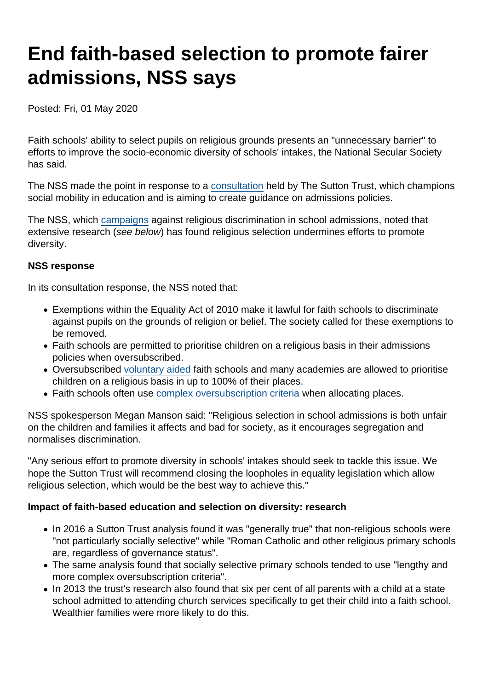# End faith-based selection to promote fairer admissions, NSS says

Posted: Fri, 01 May 2020

Faith schools' ability to select pupils on religious grounds presents an "unnecessary barrier" to efforts to improve the socio-economic diversity of schools' intakes, the National Secular Society has said.

The NSS made the point in response to a [consultation](https://www.suttontrust.com/schools-consultation/) held by The Sutton Trust, which champions social mobility in education and is aiming to create guidance on admissions policies.

The NSS, which [campaigns](https://www.secularism.org.uk/faith-schools/end-pupil-discrimination.html) against religious discrimination in school admissions, noted that extensive research (see below) has found religious selection undermines efforts to promote diversity.

#### NSS response

In its consultation response, the NSS noted that:

- Exemptions within the Equality Act of 2010 make it lawful for faith schools to discriminate against pupils on the grounds of religion or belief. The society called for these exemptions to be removed.
- Faith schools are permitted to prioritise children on a religious basis in their admissions policies when oversubscribed.
- Oversubscribed [voluntary aided](https://www.secularism.org.uk/faith-schools/what-types-of-school-are-there.html) faith schools and many academies are allowed to prioritise children on a religious basis in up to 100% of their places.
- Faith schools often use [complex oversubscription criteria](https://www.secularism.org.uk/news/2018/07/study-faith-schools-entry-policies-are-complex-and-inconsistent) when allocating places.

NSS spokesperson Megan Manson said: "Religious selection in school admissions is both unfair on the children and families it affects and bad for society, as it encourages segregation and normalises discrimination.

"Any serious effort to promote diversity in schools' intakes should seek to tackle this issue. We hope the Sutton Trust will recommend closing the loopholes in equality legislation which allow religious selection, which would be the best way to achieve this."

Impact of faith-based education and selection on diversity: research

- In 2016 a Sutton Trust analysis found it was "generally true" that non-religious schools were "not particularly socially selective" while "Roman Catholic and other religious primary schools are, regardless of governance status".
- The same analysis found that socially selective primary schools tended to use "lengthy and more complex oversubscription criteria".
- In 2013 the trust's research also found that six per cent of all parents with a child at a state school admitted to attending church services specifically to get their child into a faith school. Wealthier families were more likely to do this.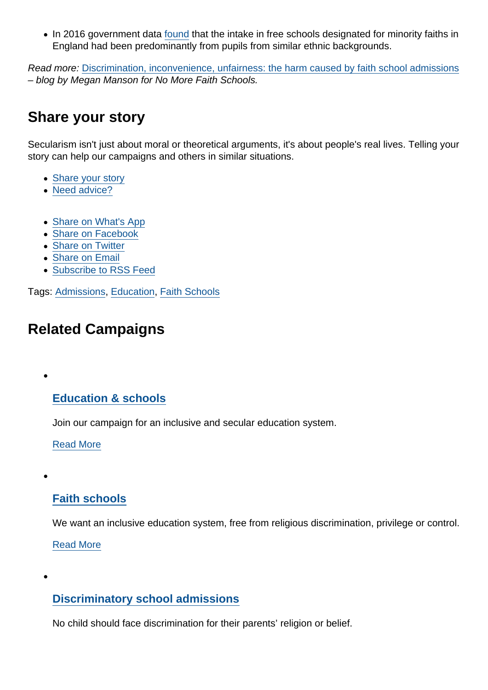• In 2016 government data [found](https://consult.education.gov.uk/school-frameworks/schools-that-work-for-everyone/supporting_documents/SCHOOLS THAT WORK FOR EVERYONE  FINAL.PDF) that the intake in free schools designated for minority faiths in England had been predominantly from pupils from similar ethnic backgrounds.

Read more: [Discrimination, inconvenience, unfairness: the harm caused by faith school admissions](https://www.nomorefaithschools.org/news/2020/04/discrimination-inconvenience-unfairness-the-harm-caused-by-faith-school-admissions) – blog by Megan Manson for No More Faith Schools.

### Share your story

Secularism isn't just about moral or theoretical arguments, it's about people's real lives. Telling your story can help our campaigns and others in similar situations.

- [Share your story](https://www.secularism.org.uk/stories.html)
- [Need advice?](https://www.secularism.org.uk/advice.html)
- [Share on What's App](whatsapp://send?text=http://www.secularism.org.uk/news/2020/05/end-faith-based-selection-to-promote-fairer-admissions-nss-says?format=pdf)
- [Share on Facebook](https://www.facebook.com/sharer/sharer.php?u=http://www.secularism.org.uk/news/2020/05/end-faith-based-selection-to-promote-fairer-admissions-nss-says?format=pdf&t=End+faith-based+selection+to+promote+fairer+admissions,+NSS+says)
- [Share on Twitter](https://twitter.com/intent/tweet?url=http://www.secularism.org.uk/news/2020/05/end-faith-based-selection-to-promote-fairer-admissions-nss-says?format=pdf&text=End+faith-based+selection+to+promote+fairer+admissions,+NSS+says&via=NatSecSoc)
- [Share on Email](https://www.secularism.org.uk/share.html?url=http://www.secularism.org.uk/news/2020/05/end-faith-based-selection-to-promote-fairer-admissions-nss-says?format=pdf&title=End+faith-based+selection+to+promote+fairer+admissions,+NSS+says)
- [Subscribe to RSS Feed](/mnt/web-data/www/cp-nss/feeds/rss/news)

Tags: [Admissions,](https://www.secularism.org.uk/news/tags/Admissions) [Education,](https://www.secularism.org.uk/news/tags/Education) [Faith Schools](https://www.secularism.org.uk/news/tags/Faith+Schools)

## Related Campaigns

### [Education & schools](https://www.secularism.org.uk/education/)

Join our campaign for an inclusive and secular education system.

[Read More](https://www.secularism.org.uk/education/)

### [Faith schools](https://www.secularism.org.uk/faith-schools/)

We want an inclusive education system, free from religious discrimination, privilege or control.

[Read More](https://www.secularism.org.uk/faith-schools/)

 $\epsilon$ 

### [Discriminatory school admissions](https://www.secularism.org.uk/admissions-fifty-percent-cap/)

No child should face discrimination for their parents' religion or belief.